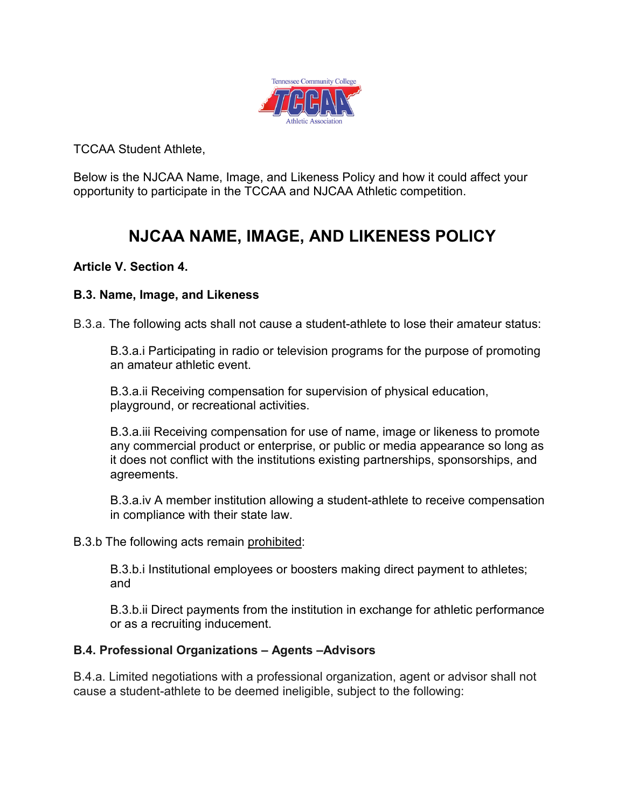

TCCAA Student Athlete,

Below is the NJCAA Name, Image, and Likeness Policy and how it could affect your opportunity to participate in the TCCAA and NJCAA Athletic competition.

# **NJCAA NAME, IMAGE, AND LIKENESS POLICY**

## **Article V. Section 4.**

## **B.3. Name, Image, and Likeness**

B.3.a. The following acts shall not cause a student-athlete to lose their amateur status:

B.3.a.i Participating in radio or television programs for the purpose of promoting an amateur athletic event.

B.3.a.ii Receiving compensation for supervision of physical education, playground, or recreational activities.

B.3.a.iii Receiving compensation for use of name, image or likeness to promote any commercial product or enterprise, or public or media appearance so long as it does not conflict with the institutions existing partnerships, sponsorships, and agreements.

B.3.a.iv A member institution allowing a student-athlete to receive compensation in compliance with their state law.

B.3.b The following acts remain prohibited:

B.3.b.i Institutional employees or boosters making direct payment to athletes; and

B.3.b.ii Direct payments from the institution in exchange for athletic performance or as a recruiting inducement.

## **B.4. Professional Organizations – Agents –Advisors**

B.4.a. Limited negotiations with a professional organization, agent or advisor shall not cause a student-athlete to be deemed ineligible, subject to the following: